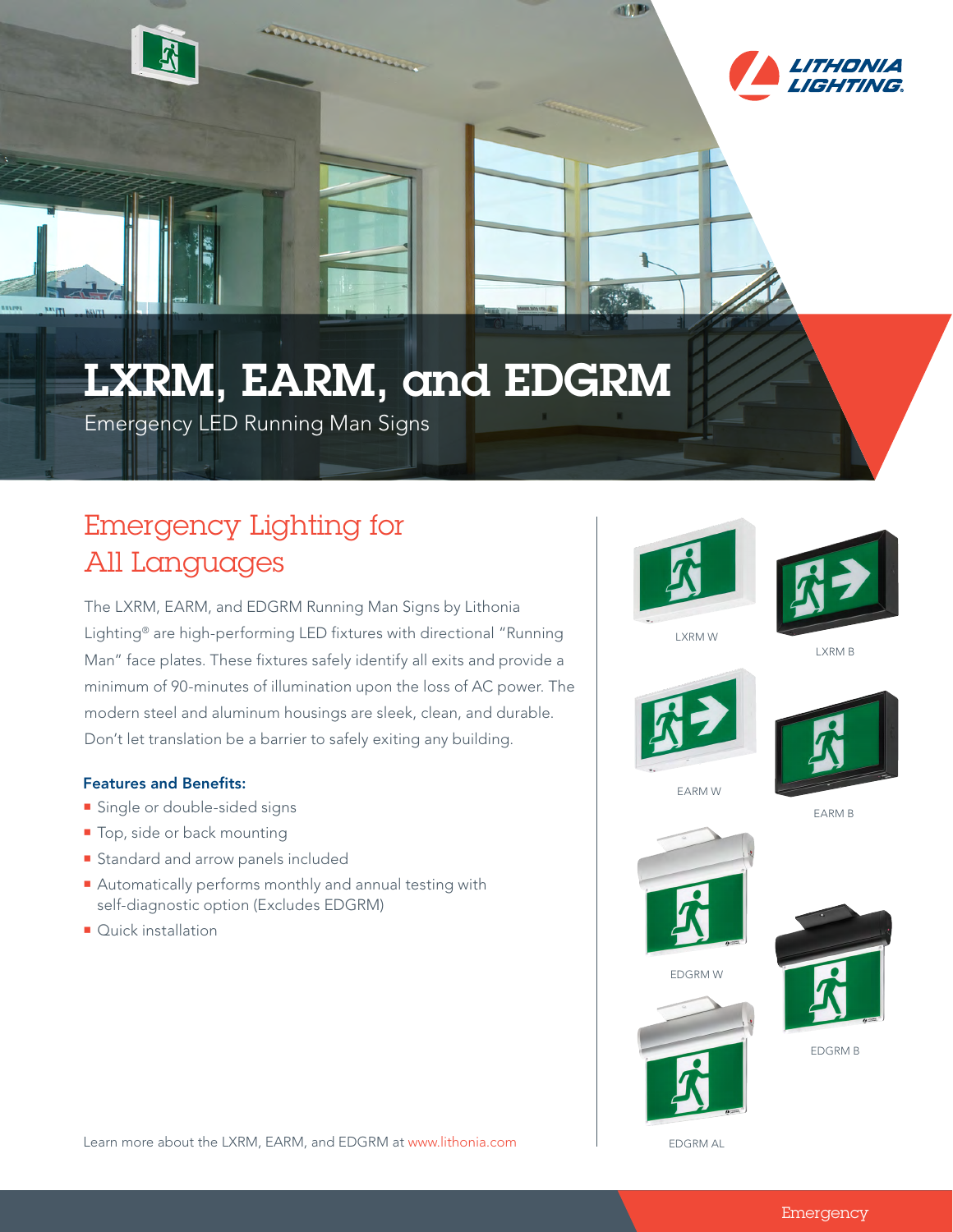



## LXRM, EARM, and EDGRM

Emergency LED Running Man Signs

## Emergency Lighting for All Languages

The LXRM, EARM, and EDGRM Running Man Signs by Lithonia Lighting® are high-performing LED fixtures with directional "Running Man" face plates. These fixtures safely identify all exits and provide a minimum of 90-minutes of illumination upon the loss of AC power. The modern steel and aluminum housings are sleek, clean, and durable. Don't let translation be a barrier to safely exiting any building.

## Features and Benefits:

- **Single or double-sided signs**
- Top, side or back mounting
- **Standard and arrow panels included**
- Automatically performs monthly and annual testing with self-diagnostic option (Excludes EDGRM)
- Quick installation



**TIP** 



LXRM W

LXRM B





EARM W

EARM B







EDGRM W

EDGRM B

EDGRM AL

Learn more about the LXRM, EARM, and EDGRM at www.lithonia.com